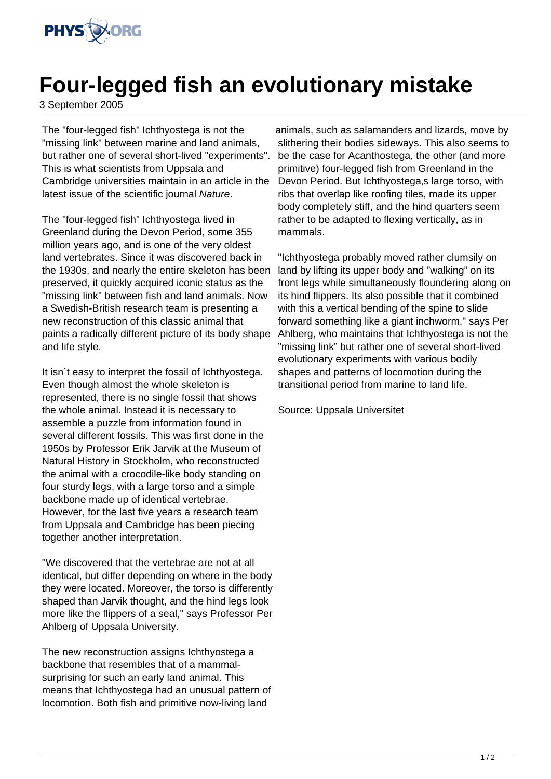

## **Four-legged fish an evolutionary mistake**

3 September 2005

The "four-legged fish" Ichthyostega is not the "missing link" between marine and land animals, but rather one of several short-lived "experiments". This is what scientists from Uppsala and Cambridge universities maintain in an article in the latest issue of the scientific journal Nature.

The "four-legged fish" Ichthyostega lived in Greenland during the Devon Period, some 355 million years ago, and is one of the very oldest land vertebrates. Since it was discovered back in the 1930s, and nearly the entire skeleton has been preserved, it quickly acquired iconic status as the "missing link" between fish and land animals. Now a Swedish-British research team is presenting a new reconstruction of this classic animal that paints a radically different picture of its body shape and life style.

It isn´t easy to interpret the fossil of Ichthyostega. Even though almost the whole skeleton is represented, there is no single fossil that shows the whole animal. Instead it is necessary to assemble a puzzle from information found in several different fossils. This was first done in the 1950s by Professor Erik Jarvik at the Museum of Natural History in Stockholm, who reconstructed the animal with a crocodile-like body standing on four sturdy legs, with a large torso and a simple backbone made up of identical vertebrae. However, for the last five years a research team from Uppsala and Cambridge has been piecing together another interpretation.

"We discovered that the vertebrae are not at all identical, but differ depending on where in the body they were located. Moreover, the torso is differently shaped than Jarvik thought, and the hind legs look more like the flippers of a seal," says Professor Per Ahlberg of Uppsala University.

The new reconstruction assigns Ichthyostega a backbone that resembles that of a mammalsurprising for such an early land animal. This means that Ichthyostega had an unusual pattern of locomotion. Both fish and primitive now-living land

animals, such as salamanders and lizards, move by slithering their bodies sideways. This also seems to be the case for Acanthostega, the other (and more primitive) four-legged fish from Greenland in the Devon Period. But Ichthyostega, slarge torso, with ribs that overlap like roofing tiles, made its upper body completely stiff, and the hind quarters seem rather to be adapted to flexing vertically, as in mammals.

"Ichthyostega probably moved rather clumsily on land by lifting its upper body and "walking" on its front legs while simultaneously floundering along on its hind flippers. Its also possible that it combined with this a vertical bending of the spine to slide forward something like a giant inchworm," says Per Ahlberg, who maintains that Ichthyostega is not the "missing link" but rather one of several short-lived evolutionary experiments with various bodily shapes and patterns of locomotion during the transitional period from marine to land life.

Source: Uppsala Universitet